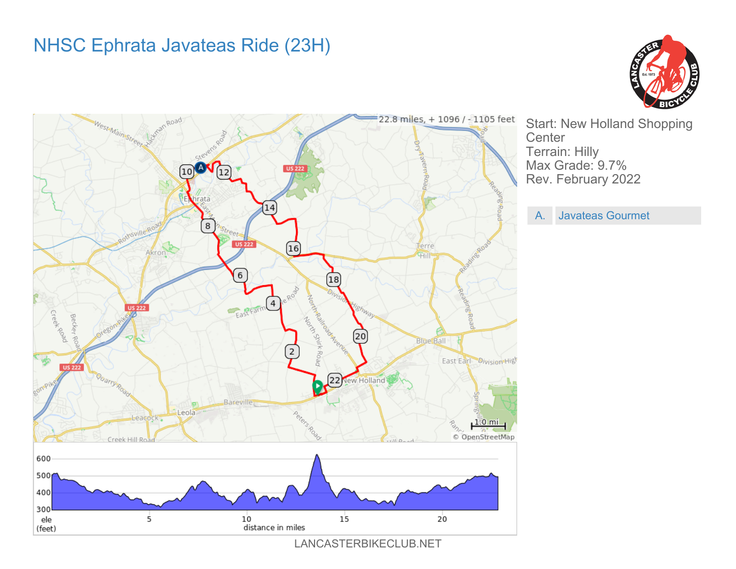## NHSC Ephrata Javateas Ride (23H)





Start: New Holland Shopping **Center** Terrain: Hilly Max Grade: 9.7% Rev. February 2022

A. Javateas Gourmet

LANCASTERBIKECLUB.NET